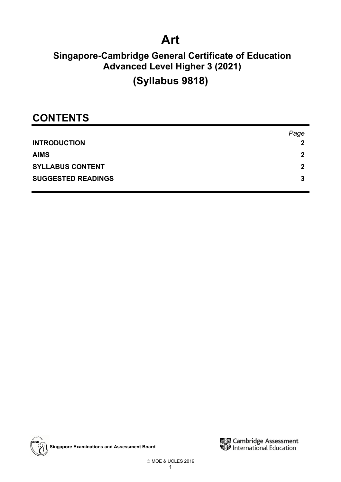# **Art**

## **Singapore-Cambridge General Certificate of Education Advanced Level Higher 3 (2021)**

## **(Syllabus 9818)**

## **CONTENTS**

|                           | Page |
|---------------------------|------|
| <b>INTRODUCTION</b>       | 2    |
| <b>AIMS</b>               | 2    |
| <b>SYLLABUS CONTENT</b>   | 2    |
| <b>SUGGESTED READINGS</b> | 3    |



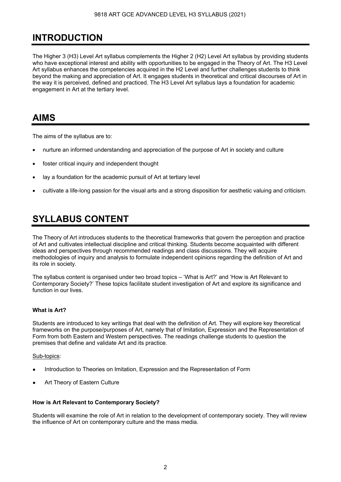### **INTRODUCTION**

The Higher 3 (H3) Level Art syllabus complements the Higher 2 (H2) Level Art syllabus by providing students who have exceptional interest and ability with opportunities to be engaged in the Theory of Art. The H3 Level Art syllabus enhances the competencies acquired in the H2 Level and further challenges students to think beyond the making and appreciation of Art. It engages students in theoretical and critical discourses of Art in the way it is perceived, defined and practiced. The H3 Level Art syllabus lays a foundation for academic engagement in Art at the tertiary level.

### **AIMS**

The aims of the syllabus are to:

- nurture an informed understanding and appreciation of the purpose of Art in society and culture
- foster critical inquiry and independent thought
- lay a foundation for the academic pursuit of Art at tertiary level
- cultivate a life-long passion for the visual arts and a strong disposition for aesthetic valuing and criticism.

### **SYLLABUS CONTENT**

The Theory of Art introduces students to the theoretical frameworks that govern the perception and practice of Art and cultivates intellectual discipline and critical thinking. Students become acquainted with different ideas and perspectives through recommended readings and class discussions. They will acquire methodologies of inquiry and analysis to formulate independent opinions regarding the definition of Art and its role in society.

The syllabus content is organised under two broad topics – 'What is Art?' and 'How is Art Relevant to Contemporary Society?' These topics facilitate student investigation of Art and explore its significance and function in our lives.

### **What is Art?**

Students are introduced to key writings that deal with the definition of Art. They will explore key theoretical frameworks on the purpose/purposes of Art, namely that of Imitation, Expression and the Representation of Form from both Eastern and Western perspectives. The readings challenge students to question the premises that define and validate Art and its practice.

#### Sub-topics:

- Introduction to Theories on Imitation, Expression and the Representation of Form
- Art Theory of Eastern Culture

#### **How is Art Relevant to Contemporary Society?**

Students will examine the role of Art in relation to the development of contemporary society. They will review the influence of Art on contemporary culture and the mass media.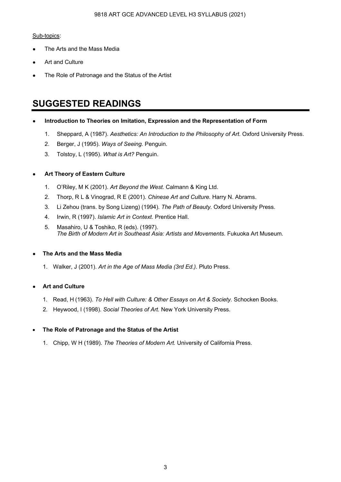#### 9818 ART GCE ADVANCED LEVEL H3 SYLLABUS (2021)

#### Sub-topics:

- The Arts and the Mass Media
- Art and Culture
- The Role of Patronage and the Status of the Artist

### **SUGGESTED READINGS**

- **Introduction to Theories on Imitation, Expression and the Representation of Form**
	- 1. Sheppard, A (1987). *Aesthetics: An Introduction to the Philosophy of Art.* Oxford University Press.
	- 2. Berger, J (1995). *Ways of Seeing.* Penguin.
	- 3. Tolstoy, L (1995). *What is Art?* Penguin.

### **Art Theory of Eastern Culture**

- 1. O'Riley, M K (2001). *Art Beyond the West.* Calmann & King Ltd.
- 2. Thorp, R L & Vinograd, R E (2001). *Chinese Art and Culture.* Harry N. Abrams.
- 3. Li Zehou (trans. by Song Lizeng) (1994). *The Path of Beauty.* Oxford University Press.
- 4. Irwin, R (1997). *Islamic Art in Context.* Prentice Hall.
- 5. Masahiro, U & Toshiko, R (eds). (1997). *The Birth of Modern Art in Southeast Asia: Artists and Movements.* Fukuoka Art Museum.

### ● **The Arts and the Mass Media**

1. Walker, J (2001). *Art in the Age of Mass Media (3rd Ed.).* Pluto Press.

### ● **Art and Culture**

- 1. Read, H (1963). *To Hell with Culture: & Other Essays on Art & Society.* Schocken Books.
- 2. Heywood, I (1998). *Social Theories of Art.* New York University Press.

### • **The Role of Patronage and the Status of the Artist**

1. Chipp, W H (1989). *The Theories of Modern Art.* University of California Press.